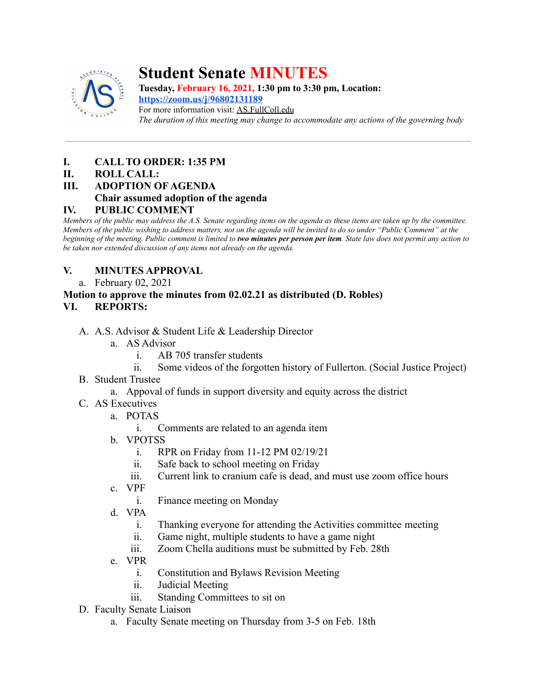

# **Student Senate MINUTES**

**Tuesday, February 16, 2021, 1:30 pm to 3:30 pm, Location: <https://zoom.us/j/96802131189>** For more information visit: AS.FullColl.edu *The duration of this meeting may change to accommodate any actions of the governing body*

## **I. CALL TO ORDER: 1:35 PM**

#### **II. ROLL CALL:**

**III. ADOPTION OF AGENDA**

#### **Chair assumed adoption of the agenda**

#### **IV. PUBLIC COMMENT**

*Members of the public may address the A.S. Senate regarding items on the agenda as these items are taken up by the committee. Members of the public wishing to address matters, not on the agenda will be invited to do so under "Public Comment" at the beginning of the meeting. Public comment is limited to two minutes per person per item. State law does not permit any action to be taken nor extended discussion of any items not already on the agenda.*

## **V. MINUTES APPROVAL**

a. February 02, 2021

#### **Motion to approve the minutes from 02.02.21 as distributed (D. Robles) VI. REPORTS:**

- A. A.S. Advisor & Student Life & Leadership Director
	- a. AS Advisor
		- i. AB 705 transfer students
		- ii. Some videos of the forgotten history of Fullerton. (Social Justice Project)
- B. Student Trustee
	- a. Appoval of funds in support diversity and equity across the district
- C. AS Executives
	- a. POTAS
		- i. Comments are related to an agenda item
	- b. VPOTSS
		- i. RPR on Friday from 11-12 PM 02/19/21
		- ii. Safe back to school meeting on Friday
		- iii. Current link to cranium cafe is dead, and must use zoom office hours
	- c. VPF
		- i. Finance meeting on Monday
	- d. VPA
		- i. Thanking everyone for attending the Activities committee meeting
		- ii. Game night, multiple students to have a game night
		- iii. Zoom Chella auditions must be submitted by Feb. 28th
	- e. VPR
		- i. Constitution and Bylaws Revision Meeting
		- ii. Judicial Meeting
		- iii. Standing Committees to sit on
- D. Faculty Senate Liaison
	- a. Faculty Senate meeting on Thursday from 3-5 on Feb. 18th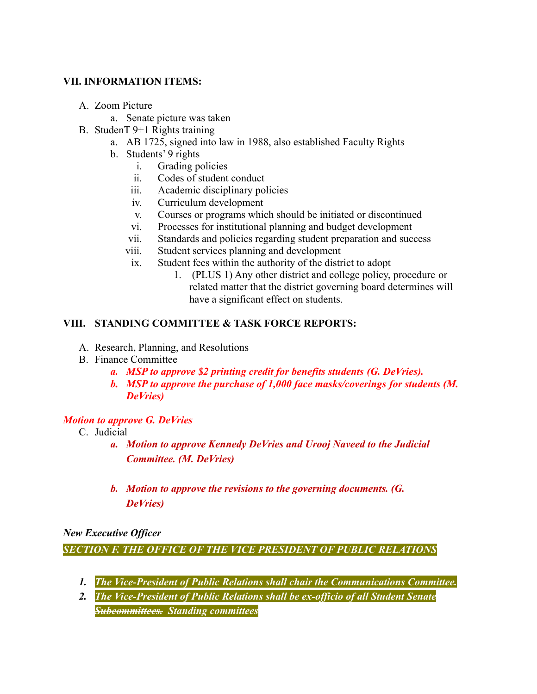#### **VII. INFORMATION ITEMS:**

- A. Zoom Picture
	- a. Senate picture was taken
- B. StudenT 9+1 Rights training
	- a. AB 1725, signed into law in 1988, also established Faculty Rights
		- b. Students' 9 rights
			- i. Grading policies
			- ii. Codes of student conduct
			- iii. Academic disciplinary policies
			- iv. Curriculum development
			- v. Courses or programs which should be initiated or discontinued
			- vi. Processes for institutional planning and budget development
			- vii. Standards and policies regarding student preparation and success
			- viii. Student services planning and development
			- ix. Student fees within the authority of the district to adopt
				- 1. (PLUS 1) Any other district and college policy, procedure or related matter that the district governing board determines will have a significant effect on students.

#### **VIII. STANDING COMMITTEE & TASK FORCE REPORTS:**

- A. Research, Planning, and Resolutions
- B. Finance Committee
	- *a. MSP to approve \$2 printing credit for benefits students (G. DeVries).*
	- *b. MSP to approve the purchase of 1,000 face masks/coverings for students (M. DeVries)*

#### *Motion to approve G. DeVries*

- C. Judicial
	- *a. Motion to approve Kennedy DeVries and Urooj Naveed to the Judicial Committee. (M. DeVries)*
	- *b. Motion to approve the revisions to the governing documents. (G. DeVries)*

*New Executive Officer*

*SECTION F. THE OFFICE OF THE VICE PRESIDENT OF PUBLIC RELATIONS*

- *1. The Vice-President of Public Relations shall chair the Communications Committee.*
- *2. The Vice-President of Public Relations shall be ex-officio of all Student Senate Subcommittees. Standing committees*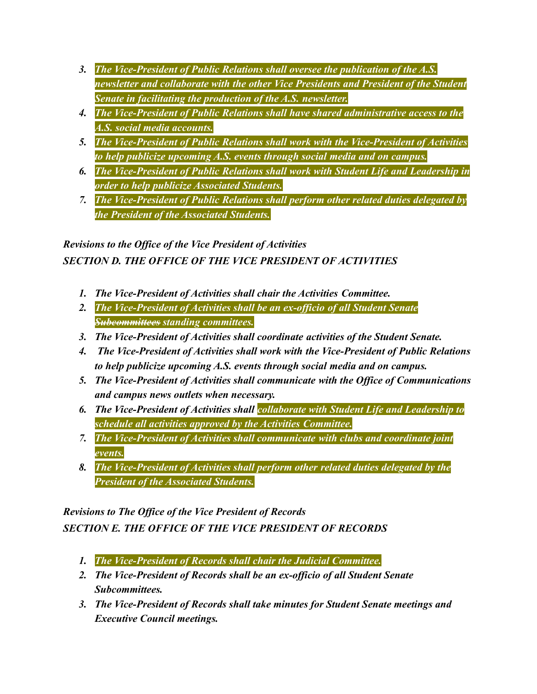- *3. The Vice-President of Public Relations shall oversee the publication of the A.S. newsletter and collaborate with the other Vice Presidents and President of the Student Senate in facilitating the production of the A.S. newsletter.*
- *4. The Vice-President of Public Relations shall have shared administrative access to the A.S. social media accounts.*
- *5. The Vice-President of Public Relations shall work with the Vice-President of Activities to help publicize upcoming A.S. events through social media and on campus.*
- *6. The Vice-President of Public Relations shall work with Student Life and Leadership in order to help publicize Associated Students.*
- *7. The Vice-President of Public Relations shall perform other related duties delegated by the President of the Associated Students.*

*Revisions to the Office of the Vice President of Activities SECTION D. THE OFFICE OF THE VICE PRESIDENT OF ACTIVITIES*

- *1. The Vice-President of Activities shall chair the Activities Committee.*
- *2. The Vice-President of Activities shall be an ex-officio of all Student Senate Subcommittees standing committees.*
- *3. The Vice-President of Activities shall coordinate activities of the Student Senate.*
- *4. The Vice-President of Activities shall work with the Vice-President of Public Relations to help publicize upcoming A.S. events through social media and on campus.*
- *5. The Vice-President of Activities shall communicate with the Office of Communications and campus news outlets when necessary.*
- *6. The Vice-President of Activities shall collaborate with Student Life and Leadership to schedule all activities approved by the Activities Committee.*
- *7. The Vice-President of Activities shall communicate with clubs and coordinate joint events.*
- *8. The Vice-President of Activities shall perform other related duties delegated by the President of the Associated Students.*

## *Revisions to The Office of the Vice President of Records*

*SECTION E. THE OFFICE OF THE VICE PRESIDENT OF RECORDS*

- *1. The Vice-President of Records shall chair the Judicial Committee.*
- *2. The Vice-President of Records shall be an ex-officio of all Student Senate Subcommittees.*
- *3. The Vice-President of Records shall take minutes for Student Senate meetings and Executive Council meetings.*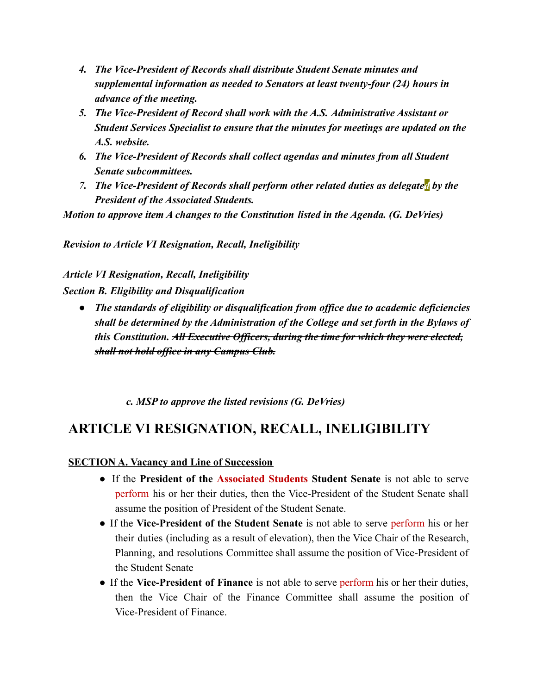- *4. The Vice-President of Records shall distribute Student Senate minutes and supplemental information as needed to Senators at least twenty-four (24) hours in advance of the meeting.*
- *5. The Vice-President of Record shall work with the A.S. Administrative Assistant or Student Services Specialist to ensure that the minutes for meetings are updated on the A.S. website.*
- *6. The Vice-President of Records shall collect agendas and minutes from all Student Senate subcommittees.*
- *7. The Vice-President of Records shall perform other related duties as delegated by the President of the Associated Students.*

*Motion to approve item A changes to the Constitution listed in the Agenda. (G. DeVries)*

*Revision to Article VI Resignation, Recall, Ineligibility*

*Article VI Resignation, Recall, Ineligibility Section B. Eligibility and Disqualification*

*● The standards of eligibility or disqualification from office due to academic deficiencies shall be determined by the Administration of the College and set forth in the Bylaws of this Constitution. All Executive Officers, during the time for which they were elected, shall not hold office in any Campus Club.*

*c. MSP to approve the listed revisions (G. DeVries)*

## **ARTICLE VI RESIGNATION, RECALL, INELIGIBILITY**

## **SECTION A. Vacancy and Line of Succession**

- If the **President of the Associated Students Student Senate** is not able to serve perform his or her their duties, then the Vice-President of the Student Senate shall assume the position of President of the Student Senate.
- If the **Vice-President of the Student Senate** is not able to serve perform his or her their duties (including as a result of elevation), then the Vice Chair of the Research, Planning, and resolutions Committee shall assume the position of Vice-President of the Student Senate
- If the **Vice-President of Finance** is not able to serve perform his or her their duties, then the Vice Chair of the Finance Committee shall assume the position of Vice-President of Finance.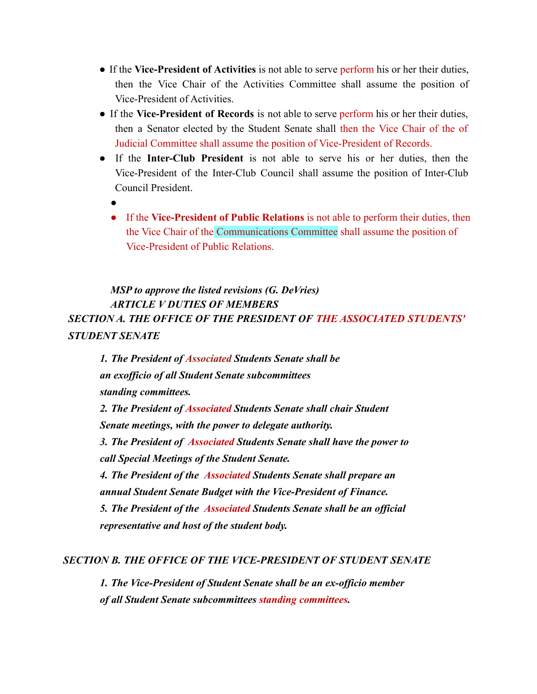- If the **Vice-President of Activities** is not able to serve perform his or her their duties, then the Vice Chair of the Activities Committee shall assume the position of Vice-President of Activities.
- If the **Vice-President of Records** is not able to serve perform his or her their duties, then a Senator elected by the Student Senate shall then the Vice Chair of the of Judicial Committee shall assume the position of Vice-President of Records.
- If the **Inter-Club President** is not able to serve his or her duties, then the Vice-President of the Inter-Club Council shall assume the position of Inter-Club Council President.
	- ●
	- If the **Vice-President of Public Relations** is not able to perform their duties, then the Vice Chair of the Communications Committee shall assume the position of Vice-President of Public Relations.

*MSP to approve the listed revisions (G. DeVries) ARTICLE V DUTIES OF MEMBERS SECTION A. THE OFFICE OF THE PRESIDENT OF THE ASSOCIATED STUDENTS' STUDENT SENATE*

*1. The President of Associated Students Senate shall be an exofficio of all Student Senate subcommittees standing committees. 2. The President of Associated Students Senate shall chair Student Senate meetings, with the power to delegate authority. 3. The President of Associated Students Senate shall have the power to call Special Meetings of the Student Senate. 4. The President of the Associated Students Senate shall prepare an annual Student Senate Budget with the Vice-President of Finance. 5. The President of the Associated Students Senate shall be an official representative and host of the student body.*

#### *SECTION B. THE OFFICE OF THE VICE-PRESIDENT OF STUDENT SENATE*

*1. The Vice-President of Student Senate shall be an ex-officio member of all Student Senate subcommittees standing committees.*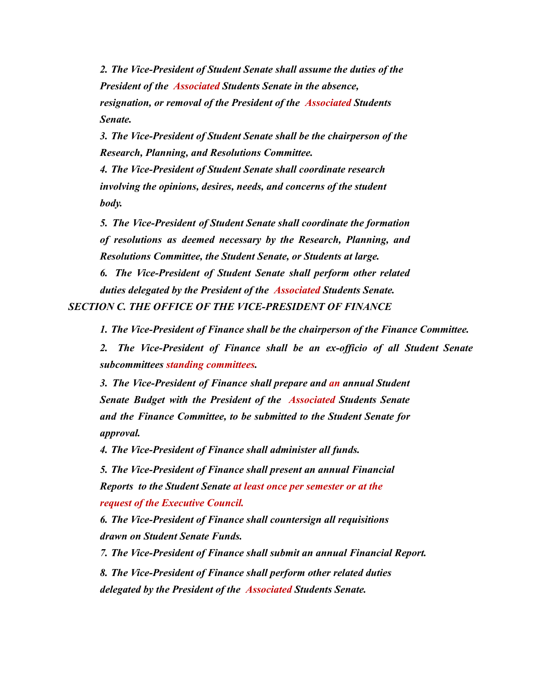*2. The Vice-President of Student Senate shall assume the duties of the President of the Associated Students Senate in the absence, resignation, or removal of the President of the Associated Students Senate.*

*3. The Vice-President of Student Senate shall be the chairperson of the Research, Planning, and Resolutions Committee.*

*4. The Vice-President of Student Senate shall coordinate research involving the opinions, desires, needs, and concerns of the student body.*

*5. The Vice-President of Student Senate shall coordinate the formation of resolutions as deemed necessary by the Research, Planning, and Resolutions Committee, the Student Senate, or Students at large.*

*6. The Vice-President of Student Senate shall perform other related duties delegated by the President of the Associated Students Senate.*

*SECTION C. THE OFFICE OF THE VICE-PRESIDENT OF FINANCE*

*1. The Vice-President of Finance shall be the chairperson of the Finance Committee.*

*2. The Vice-President of Finance shall be an ex-officio of all Student Senate subcommittees standing committees.*

*3. The Vice-President of Finance shall prepare and an annual Student Senate Budget with the President of the Associated Students Senate and the Finance Committee, to be submitted to the Student Senate for approval.*

*4. The Vice-President of Finance shall administer all funds.*

*5. The Vice-President of Finance shall present an annual Financial Reports to the Student Senate at least once per semester or at the request of the Executive Council.*

*6. The Vice-President of Finance shall countersign all requisitions drawn on Student Senate Funds.*

*7. The Vice-President of Finance shall submit an annual Financial Report.*

*8. The Vice-President of Finance shall perform other related duties delegated by the President of the Associated Students Senate.*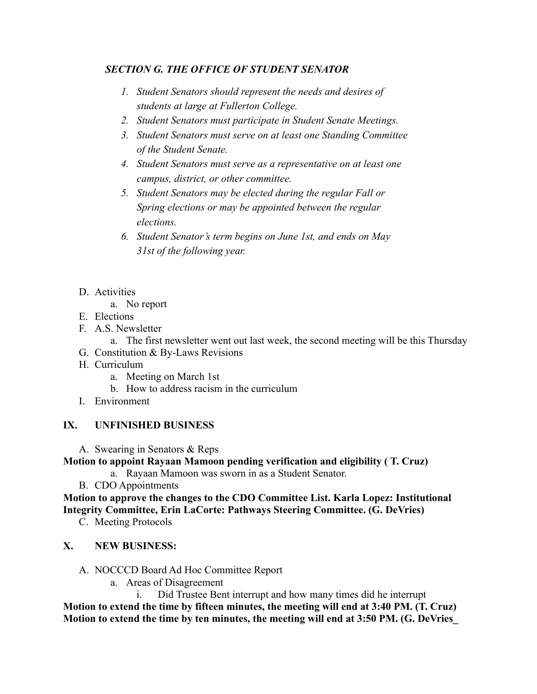#### *SECTION G. THE OFFICE OF STUDENT SENATOR*

- *1. Student Senators should represent the needs and desires of students at large at Fullerton College.*
- *2. Student Senators must participate in Student Senate Meetings.*
- *3. Student Senators must serve on at least one Standing Committee of the Student Senate.*
- *4. Student Senators must serve as a representative on at least one campus, district, or other committee.*
- *5. Student Senators may be elected during the regular Fall or Spring elections or may be appointed between the regular elections.*
- *6. Student Senator's term begins on June 1st, and ends on May 31st of the following year.*
- D. Activities
	- a. No report
- E. Elections
- F. A.S. Newsletter
	- a. The first newsletter went out last week, the second meeting will be this Thursday
- G. Constitution & By-Laws Revisions
- H. Curriculum
	- a. Meeting on March 1st
	- b. How to address racism in the curriculum
- I. Environment

## **IX. UNFINISHED BUSINESS**

A. Swearing in Senators & Reps

#### **Motion to appoint Rayaan Mamoon pending verification and eligibility ( T. Cruz)**

- a. Rayaan Mamoon was sworn in as a Student Senator.
- B. CDO Appointments

**Motion to approve the changes to the CDO Committee List. Karla Lopez: Institutional Integrity Committee, Erin LaCorte: Pathways Steering Committee. (G. DeVries)**

C. Meeting Protocols

## **X. NEW BUSINESS:**

- A. NOCCCD Board Ad Hoc Committee Report
	- a. Areas of Disagreement
		- i. Did Trustee Bent interrupt and how many times did he interrupt

**Motion to extend the time by fifteen minutes, the meeting will end at 3:40 PM. (T. Cruz) Motion to extend the time by ten minutes, the meeting will end at 3:50 PM. (G. DeVries\_**